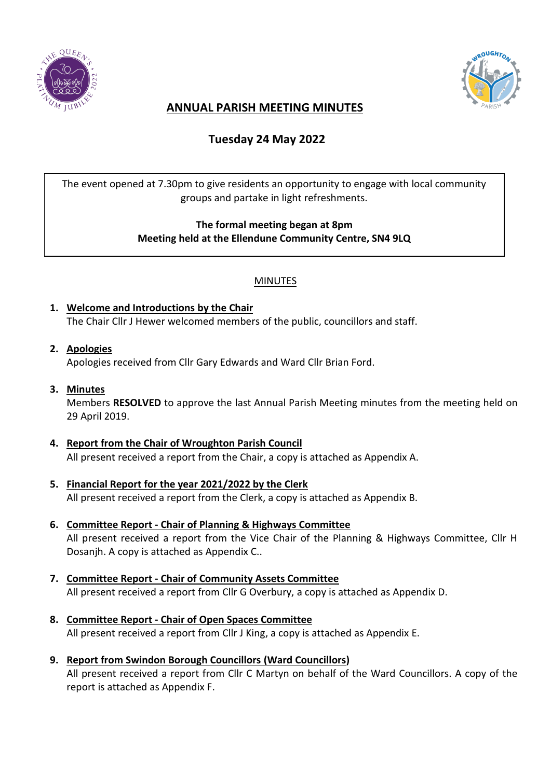



## **ANNUAL PARISH MEETING MINUTES**

# **Tuesday 24 May 2022**

The event opened at 7.30pm to give residents an opportunity to engage with local community groups and partake in light refreshments.

### **The formal meeting began at 8pm Meeting held at the Ellendune Community Centre, SN4 9LQ**

### MINUTES

- **1. Welcome and Introductions by the Chair** The Chair Cllr J Hewer welcomed members of the public, councillors and staff.
- **2. Apologies**

Apologies received from Cllr Gary Edwards and Ward Cllr Brian Ford.

**3. Minutes**

Members **RESOLVED** to approve the last Annual Parish Meeting minutes from the meeting held on 29 April 2019.

- **4. Report from the Chair of Wroughton Parish Council** All present received a report from the Chair, a copy is attached as Appendix A.
- **5. Financial Report for the year 2021/2022 by the Clerk** All present received a report from the Clerk, a copy is attached as Appendix B.
- **6. Committee Report - Chair of Planning & Highways Committee** All present received a report from the Vice Chair of the Planning & Highways Committee, Cllr H Dosanjh. A copy is attached as Appendix C..
- **7. Committee Report - Chair of Community Assets Committee** All present received a report from Cllr G Overbury, a copy is attached as Appendix D.
- **8. Committee Report - Chair of Open Spaces Committee** All present received a report from Cllr J King, a copy is attached as Appendix E.
- **9. Report from Swindon Borough Councillors (Ward Councillors)** All present received a report from Cllr C Martyn on behalf of the Ward Councillors. A copy of the report is attached as Appendix F.